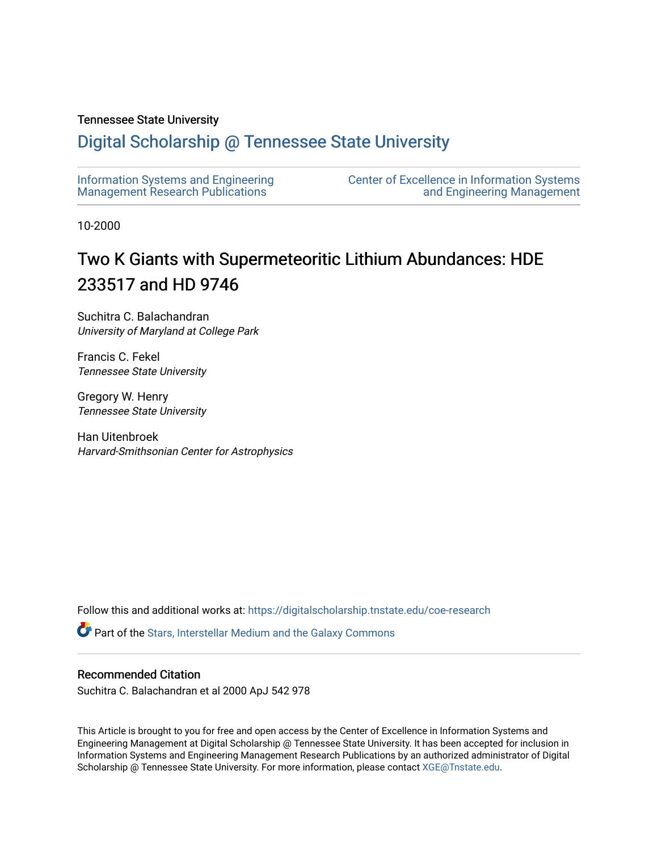## Tennessee State University

## [Digital Scholarship @ Tennessee State University](https://digitalscholarship.tnstate.edu/)

| Information Systems and Engineering | <b>Center of Excellence in Information Systems</b> |
|-------------------------------------|----------------------------------------------------|
| Management Research Publications    | and Engineering Management                         |

10-2000

# Two K Giants with Supermeteoritic Lithium Abundances: HDE 233517 and HD 9746

Suchitra C. Balachandran University of Maryland at College Park

Francis C. Fekel Tennessee State University

Gregory W. Henry Tennessee State University

Han Uitenbroek Harvard-Smithsonian Center for Astrophysics

Follow this and additional works at: [https://digitalscholarship.tnstate.edu/coe-research](https://digitalscholarship.tnstate.edu/coe-research?utm_source=digitalscholarship.tnstate.edu%2Fcoe-research%2F342&utm_medium=PDF&utm_campaign=PDFCoverPages) 

Part of the [Stars, Interstellar Medium and the Galaxy Commons](http://network.bepress.com/hgg/discipline/127?utm_source=digitalscholarship.tnstate.edu%2Fcoe-research%2F342&utm_medium=PDF&utm_campaign=PDFCoverPages) 

## Recommended Citation

Suchitra C. Balachandran et al 2000 ApJ 542 978

This Article is brought to you for free and open access by the Center of Excellence in Information Systems and Engineering Management at Digital Scholarship @ Tennessee State University. It has been accepted for inclusion in Information Systems and Engineering Management Research Publications by an authorized administrator of Digital Scholarship @ Tennessee State University. For more information, please contact [XGE@Tnstate.edu](mailto:XGE@Tnstate.edu).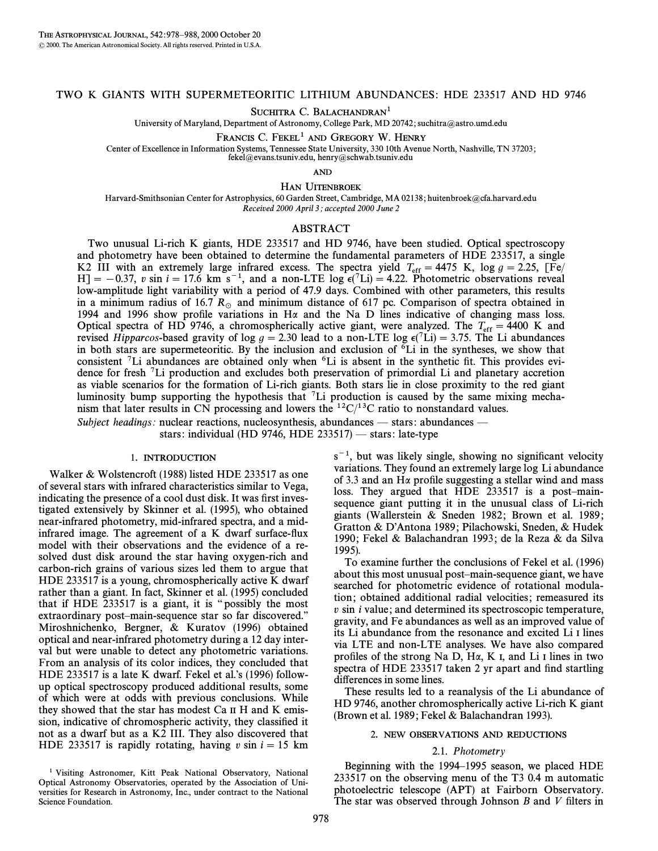### TWO K GIANTS WITH SUPERMETEORITIC LITHIUM ABUNDANCES: HDE 233517 AND HD 9746

SUCHITRA C. BALACHANDRAN<sup>1</sup>

University of Maryland, Department of Astronomy, College Park, MD 20742; suchitra@astro.umd.edu

FRANCIS C. FEKEL<sup>1</sup> AND GREGORY W. HENRY

Center of Excellence in Information Systems, Tennessee State University, 330 10th Avenue North, Nashville, TN 37203 ;

fekel@evans.tsuniv.edu, henry@schwab.tsuniv.edu

AND

HAN UITENBROEK

Harvard-Smithsonian Center for Astrophysics, 60 Garden Street, Cambridge, MA 02138; huitenbroek@cfa.harvard.edu Received 2000 April 3; accepted 2000 June 2

#### ABSTRACT

Two unusual Li-rich K giants, HDE 233517 and HD 9746, have been studied. Optical spectroscopy and photometry have been obtained to determine the fundamental parameters of HDE 233517, a single K2 III with an extremely large infrared excess. The spectra yield  $T_{\text{eff}} = 4475$  K, log  $g = 2.25$ , [Fe/  $[H] = -0.37$ , v sin  $i = 17.6$  km s<sup>-1</sup>, and a non-LTE log  $\epsilon$ (<sup>7</sup>Li) = 4.22. Photometric observations reveal low-amplitude light variability with a period of 47.9 days. Combined with other parameters, this results in a minimum radius of 16.7  $R_{\odot}$  and minimum distance of 617 pc. Comparison of spectra obtained in 1994 and 1996 show profile variations in H $\alpha$  and the Na D lines indicative of changing mass loss. Optical spectra of HD 9746, a chromospherically active giant, were analyzed. The  $T_{\text{eff}} = 4400$  K and The Timercos-based gravity of  $\log a = 2.30$  lead to a non-I TE  $\log e^{(7)}$  i)  $= 3.75$ . The Li abundances revised Hipparcos-based gravity of log  $g = 2.30$  lead to a non-LTE log  $\epsilon$ <sup>(7</sup>Li) = 3.75. The Li abundances in both stars are supermeteoritic. By the inclusion and exclusion of  ${}^{6}Li$  in the syntheses, we show that consistent <sup>7</sup>Li abundances are obtained only when <sup>6</sup>Li is absent in the synthetic fit. This provides evidence for fresh 7Li production and excludes both preservation of primordial Li and planetary accretion as viable scenarios for the formation of Li-rich giants. Both stars lie in close proximity to the red giant luminosity bump supporting the hypothesis that 7Li production is caused by the same mixing mechanism that later results in CN processing and lowers the  ${}^{12}C/{}^{13}C$  ratio to nonstandard values. Subject headings: nuclear reactions, nucleosynthesis, abundances — stars: abundances —

stars: individual (HD 9746, HDE 233517) — stars: late-type

#### 1. INTRODUCTION

Walker & Wolstencroft (1988) listed HDE 233517 as one of several stars with infrared characteristics similar to Vega, indicating the presence of a cool dust disk. It was first investigated extensively by Skinner et al. (1995), who obtained near-infrared photometry, mid-infrared spectra, and a midinfrared image. The agreement of a K dwarf surface-flux model with their observations and the evidence of a resolved dust disk around the star having oxygen-rich and carbon-rich grains of various sizes led them to argue that HDE 233517 is a young, chromospherically active K dwarf rather than a giant. In fact, Skinner et al. (1995) concluded that if HDE 233517 is a giant, it is "possibly the most extraordinary post-main-sequence star so far discovered." Miroshnichenko, Bergner, & Kuratov (1996) obtained optical and near-infrared photometry during a 12 day interval but were unable to detect any photometric variations. From an analysis of its color indices, they concluded that HDE 233517 is a late K dwarf. Fekel et al.'s  $(1996)$  followup optical spectroscopy produced additional results, some of which were at odds with previous conclusions. While they showed that the star has modest Ca II H and K emission, indicative of chromospheric activity, they classified it not as a dwarf but as a K2 III. They also discovered that HDE 233517 is rapidly rotating, having v sin  $i = 15$  km  $s^{-1}$ , but was likely single, showing no significant velocity variations. They found an extremely large log Li abundance of 3.3 and an  $H\alpha$  profile suggesting a stellar wind and mass loss. They argued that  $HDE$  233517 is a post-mainsequence giant putting it in the unusual class of Li-rich giants (Wallerstein & Sneden 1982; Brown et al. 1989; Gratton & D'Antona 1989; Pilachowski, Sneden, & Hudek 1990; Fekel & Balachandran 1993; de la Reza & da Silva 1995).

To examine further the conclusions of Fekel et al. (1996) about this most unusual post-main-sequence giant, we have searched for photometric evidence of rotational modulation; obtained additional radial velocities; remeasured its  $v \sin i$  value; and determined its spectroscopic temperature, gravity, and Fe abundances as well as an improved value of its Li abundance from the resonance and excited Li I lines via LTE and non-LTE analyses. We have also compared profiles of the strong Na D, H $\alpha$ , K I, and Li I lines in two spectra of HDE 233517 taken 2 yr apart and find startling differences in some lines.

These results led to a reanalysis of the Li abundance of HD 9746, another chromospherically active Li-rich K giant (Brown et al. 1989 ; Fekel & Balachandran 1993).

#### 2. NEW OBSERVATIONS AND REDUCTIONS

#### 2.1. Photometry

Beginning with the 1994–1995 season, we placed HDE 233517 on the observing menu of the T3 0.4 m automatic photoelectric telescope (APT) at Fairborn Observatory. The star was observed through Johnson  $B$  and  $V$  filters in

<sup>&</sup>lt;sup>1</sup> Visiting Astronomer, Kitt Peak National Observatory, National Optical Astronomy Observatories, operated by the Association of Universities for Research in Astronomy, Inc., under contract to the National Science Foundation.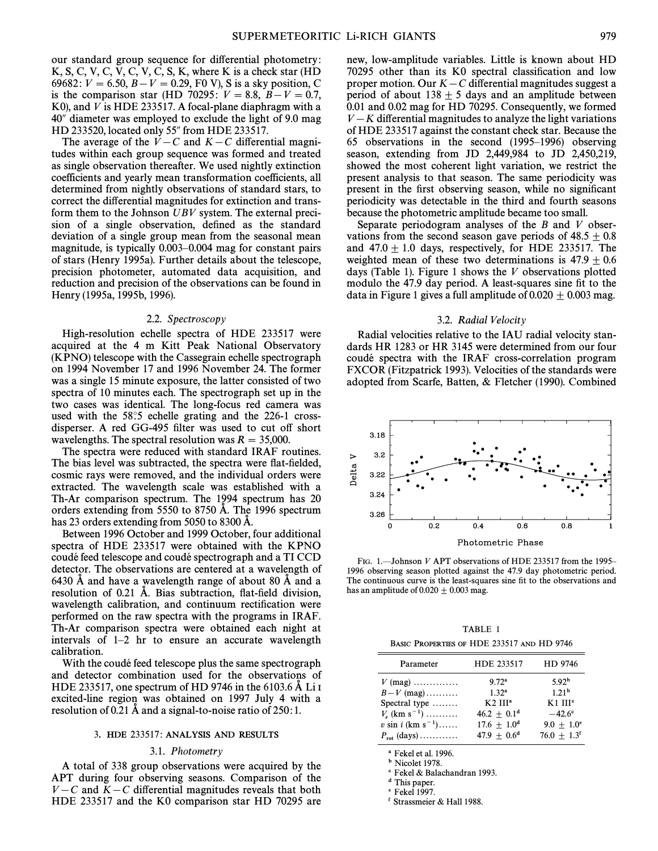our standard group sequence for differential photometry: K, S, C, V, C, V, C, V, C, S, K, where K is a check star  $(HD)$ 69682:  $V = 6.50, B - V = 0.29, F0$  V), S is a sky position, C is the comparison star (HD 70295:  $V = 8.8$ ,  $B - V = 0.7$ , K0), and V is HDE 233517. A focal-plane diaphragm with a 40" diameter was employed to exclude the light of 9.0 mag HD 233520, located only 55" from HDE 233517.

The average of the  $V - C$  and  $K - C$  differential magnitudes within each group sequence was formed and treated as single observation thereafter. We used nightly extinction coefficients and yearly mean transformation coefficients, all determined from nightly observations of standard stars, to correct the differential magnitudes for extinction and transform them to the Johnson UBV system. The external precision of a single observation, defined as the standard deviation of a single group mean from the seasonal mean magnitude, is typically 0.003–0.004 mag for constant pairs of stars (Henry 1995a). Further details about the telescope, precision photometer, automated data acquisition, and reduction and precision of the observations can be found in Henry (1995a, 1995b, 1996).

#### 2.2. Spectroscopy

High-resolution echelle spectra of HDE 233517 were acquired at the 4 m Kitt Peak National Observatory (KPNO) telescope with the Cassegrain echelle spectrograph on 1994 November 17 and 1996 November 24. The former was a single 15 minute exposure, the latter consisted of two spectra of 10 minutes each. The spectrograph set up in the two cases was identical. The long-focus red camera was used with the  $58°.5$  echelle grating and the 226-1 crossdisperser. A red GG-495 filter was used to cut off short wavelengths. The spectral resolution was  $R = 35,000$ .

The spectra were reduced with standard IRAF routines. The bias level was subtracted, the spectra were flat-fielded, cosmic rays were removed, and the individual orders were extracted. The wavelength scale was established with a Th-Ar comparison spectrum. The 1994 spectrum has 20 orders extending from 5550 to 8750  $\AA$ . The 1996 spectrum has 23 orders extending from 5050 to 8300 A.

Between 1996 October and 1999 October, four additional spectra of HDE 233517 were obtained with the KPNO coudé feed telescope and coudé spectrograph and a TI CCD detector. The observations are centered at a wavelength of 6430 Å and have a wavelength range of about 80 Å and a resolution of  $0.21$  Å. Bias subtraction, flat-field division, wavelength calibration, and continuum rectification were performed on the raw spectra with the programs in IRAF. Th-Ar comparison spectra were obtained each night at intervals of  $1-2$  hr to ensure an accurate wavelength calibration.

With the coudé feed telescope plus the same spectrograph and detector combination used for the observations of HDE 233517, one spectrum of HD 9746 in the 6103.6  $\AA$  Li I excited-line region was obtained on 1997 July 4 with a resolution of  $0.21$  A and a signal-to-noise ratio of  $250:1$ .

#### 3. HDE 233517: ANALYSIS AND RESULTS

#### 3.1. Photometry

A total of 338 group observations were acquired by the APT during four observing seasons. Comparison of the  $V - C$  and  $K - C$  differential magnitudes reveals that both HDE 233517 and the K0 comparison star HD 70295 are new, low-amplitude variables. Little is known about HD 70295 other than its K0 spectral classification and low proper motion. Our  $K - C$  differential magnitudes suggest a period of about  $138 \pm 5$  days and an amplitude between 0.01 and 0.02 mag for HD 70295. Consequently, we formed  $V - K$  differential magnitudes to analyze the light variations of HDE 233517 against the constant check star. Because the 65 observations in the second  $(1995-1996)$  observing season, extending from JD 2,449,984 to JD 2,450,219, showed the most coherent light variation, we restrict the present analysis to that season. The same periodicity was present in the first observing season, while no significant periodicity was detectable in the third and fourth seasons because the photometric amplitude became too small.

Separate periodogram analyses of the  $B$  and  $V$  observations from the second season gave periods of  $48.5 \pm 0.8$ and  $47.0 \pm 1.0$  days, respectively, for HDE 233517. The weighted mean of these two determinations is  $47.9 \pm 0.6$ days (Table 1). Figure 1 shows the  $V$  observations plotted modulo the 47.9 day period. A least-squares sine fit to the data in Figure 1 gives a full amplitude of  $0.020 \pm 0.003$  mag.

#### 3.2. Radial Velocity

Radial velocities relative to the IAU radial velocity standards HR 1283 or HR 3145 were determined from our four coude spectra with the IRAF cross-correlation program FXCOR (Fitzpatrick 1993). Velocities of the standards were adopted from Scarfe, Batten, & Fletcher (1990). Combined



FIG. 1.-Johnson V APT observations of HDE 233517 from the 1995-1996 observing season plotted against the 47.9 day photometric period. The continuous curve is the least-squares sine fit to the observations and has an amplitude of  $0.020 \pm 0.003$  mag.

TABLE 1 BASIC PROPERTIES OF HDE 233517 AND HD 9746

| Parameter                        | HDE 233517        | HD 9746                   |
|----------------------------------|-------------------|---------------------------|
| $V$ (mag)                        | 9.72 <sup>a</sup> | 5.92 <sup>b</sup>         |
| $B-V$ (mag)                      | 1.32 <sup>a</sup> | 1.21 <sup>b</sup>         |
| Spectral type                    | $K2$ $IIIa$       | $K1$ $IIIc$               |
| $V_r$ (km s <sup>-1</sup> )      | $46.2 + 0.1d$     | $-42.6^{\circ}$           |
| $v \sin i$ (km s <sup>-1</sup> ) | $17.6 \pm 1.0^d$  | $9.0 + 1.0^{\circ}$       |
| $P_{\rm rot}$ (days)             | $47.9 + 0.6^d$    | $76.0 + 1.3$ <sup>f</sup> |

a Fekel et al. 1996.

**b** Nicolet 1978.

c Fekel & Balachandran 1993.

d This paper.

e Fekel 1997.

f Strassmeier & Hall 1988.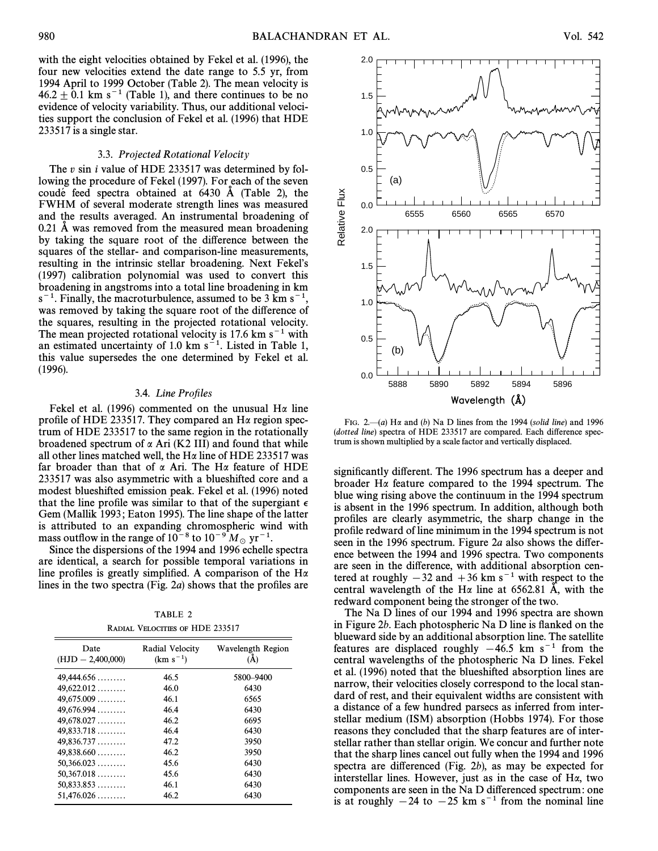with the eight velocities obtained by Fekel et al. (1996), the four new velocities extend the date range to 5.5 yr, from 1994 April to 1999 October (Table 2). The mean velocity is  $46.2 \pm 0.1$  km s<sup>-1</sup> (Table 1), and there continues to be no evidence of velocity variability. Thus, our additional velocities support the conclusion of Fekel et al. (1996) that HDE 233517 is a single star.

#### 3.3. Projected Rotational Velocity

The v sin *i* value of HDE 233517 was determined by following the procedure of Fekel (1997). For each of the seven coude feed spectra obtained at  $6430$  Å (Table 2), the FWHM of several moderate strength lines was measured and the results averaged. An instrumental broadening of  $0.21$  Å was removed from the measured mean broadening by taking the square root of the difference between the squares of the stellar- and comparison-line measurements, resulting in the intrinsic stellar broadening. Next Fekel's (1997) calibration polynomial was used to convert this broadening in angstroms into a total line broadening in km  $s^{-1}$ . Finally, the macroturbulence, assumed to be 3 km  $s^{-1}$ , was removed by taking the square root of the difference of the squares, resulting in the projected rotational velocity. The mean projected rotational velocity is 17.6 km  $s^{-1}$  with an estimated uncertainty of 1.0 km  $s^{-1}$ . Listed in Table 1, this value supersedes the one determined by Fekel et al. (1996).

#### 3.4. Line Profiles

Fekel et al. (1996) commented on the unusual H $\alpha$  line profile of HDE 233517. They compared an  $H\alpha$  region spectrum of HDE 233517 to the same region in the rotationally broadened spectrum of  $\alpha$  Ari (K2 III) and found that while all other lines matched well, the H $\alpha$  line of HDE 233517 was far broader than that of  $\alpha$  Ari. The H $\alpha$  feature of HDE 233517 was also asymmetric with a blueshifted core and a modest blueshifted emission peak. Fekel et al. (1996) noted that the line profile was similar to that of the supergiant  $\epsilon$ Gem (Mallik 1993; Eaton 1995). The line shape of the latter is attributed to an expanding chromospheric wind with mass outflow in the range of  $10^{-8}$  to  $10^{-9}$   $M_{\odot}$  yr<sup>-1</sup>.<br>Since the dispersions of the 1994 and 1996 echelle

Since the dispersions of the 1994 and 1996 echelle spectra are identical, a search for possible temporal variations in line profiles is greatly simplified. A comparison of the H $\alpha$ lines in the two spectra (Fig.  $2a$ ) shows that the profiles are

| TABLE 2                         |  |  |  |
|---------------------------------|--|--|--|
| RADIAL VELOCITIES OF HDE 233517 |  |  |  |

| Date<br>$(HJD - 2,400,000)$ | Radial Velocity<br>$(km s^{-1})$ | Wavelength Region<br>(A) |
|-----------------------------|----------------------------------|--------------------------|
| 49,444.656                  | 46.5                             | 5800-9400                |
| $49,622.012$                | 46.0                             | 6430                     |
| $49,675,009$                | 46.1                             | 6565                     |
| 49,676.994                  | 46.4                             | 6430                     |
| 49,678,027                  | 46.2                             | 6695                     |
| 49,833.718                  | 46.4                             | 6430                     |
| 49,836.737                  | 47.2                             | 3950                     |
| 49,838.660                  | 46.2                             | 3950                     |
| $50,366.023$                | 45.6                             | 6430                     |
| 50,367.018                  | 45.6                             | 6430                     |
| 50,833.853                  | 46.1                             | 6430                     |
| $51,476.026 \ldots$         | 46.2                             | 6430                     |



FIG. 2 $\rightarrow$  (a) H $\alpha$  and (b) Na D lines from the 1994 (solid line) and 1996 (dotted line) spectra of HDE 233517 are compared. Each difference spectrum is shown multiplied by a scale factor and vertically displaced.

significantly different. The 1996 spectrum has a deeper and broader Ha feature compared to the 1994 spectrum. The blue wing rising above the continuum in the 1994 spectrum is absent in the 1996 spectrum. In addition, although both profiles are clearly asymmetric, the sharp change in the profile redward of line minimum in the 1994 spectrum is not seen in the 1996 spectrum. Figure  $2a$  also shows the difference between the 1994 and 1996 spectra. Two components are seen in the difference, with additional absorption centered at roughly  $-32$  and  $+36$  km s<sup>-1</sup> with respect to the central wavelength of the H $\alpha$  line at 6562.81 Å, with the redward component being the stronger of the two.

The Na D lines of our 1994 and 1996 spectra are shown in Figure 2b. Each photospheric Na  $D$  line is flanked on the blueward side by an additional absorption line. The satellite features are displaced roughly  $-46.5$  km s<sup>-1</sup> from the central wavelengths of the photospheric Na D lines. Fekel et al. (1996) noted that the blueshifted absorption lines are narrow, their velocities closely correspond to the local standard of rest, and their equivalent widths are consistent with a distance of a few hundred parsecs as inferred from interstellar medium (ISM) absorption (Hobbs 1974). For those reasons they concluded that the sharp features are of interstellar rather than stellar origin. We concur and further note that the sharp lines cancel out fully when the 1994 and 1996 spectra are differenced (Fig. 2b), as may be expected for interstellar lines. However, just as in the case of  $H\alpha$ , two components are seen in the Na D differenced spectrum: one is at roughly  $-24$  to  $-25$  km s<sup>-1</sup> from the nominal line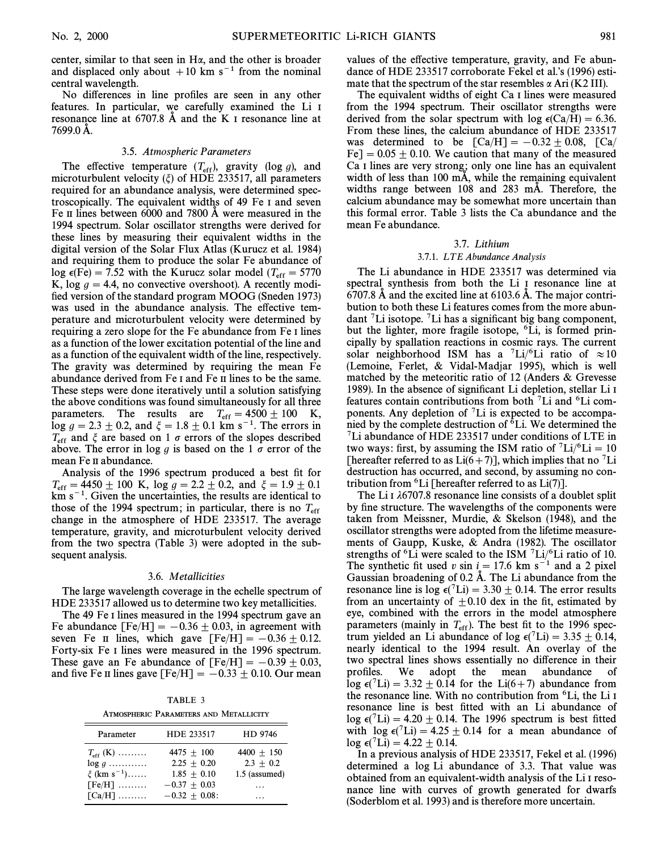center, similar to that seen in  $H\alpha$ , and the other is broader and displaced only about  $+10$  km s<sup>-1</sup> from the nominal central wavelength.

No differences in line profiles are seen in any other features. In particular, we carefully examined the Li I resonance line at  $6707.8$  Å and the K I resonance line at 7699.0 A.

#### 3.5. Atmospheric Parameters

The effective temperature  $(T_{\text{eff}})$ , gravity (log g), and microturbulent velocity  $(\xi)$  of HDE 233517, all parameters required for an abundance analysis, were determined spectroscopically. The equivalent widths of 49 Fe I and seven Fe II lines between  $6000$  and  $7800$  Å were measured in the 1994 spectrum. Solar oscillator strengths were derived for these lines by measuring their equivalent widths in the digital version of the Solar Flux Atlas (Kurucz et al. 1984) and requiring them to produce the solar Fe abundance of log  $\epsilon$ (Fe) = 7.52 with the Kurucz solar model ( $T_{\text{eff}}$  = 5770<br>K log  $a = 4.4$  no convective overshoot). A recently model K, log  $q = 4.4$ , no convective overshoot). A recently modified version of the standard program MOOG (Sneden 1973) was used in the abundance analysis. The effective temperature and microturbulent velocity were determined by requiring a zero slope for the Fe abundance from Fe I lines as a function of the lower excitation potential of the line and as a function of the equivalent width of the line, respectively. The gravity was determined by requiring the mean Fe abundance derived from Fe I and Fe II lines to be the same. These steps were done iteratively until a solution satisfying the above conditions was found simultaneously for all three parameters. The results are  $T_{\text{eff}} = 4500 \pm 100$  K,  $\log g = 2.3 \pm 0.2$ , and  $\xi = 1.8 \pm 0.1$  km s<sup>-1</sup>. The errors in  $T_{\rm eff}$  and  $\xi$  are based on 1  $\sigma$  errors of the slopes described above. The error in log g is based on the 1  $\sigma$  error of the mean Fe II abundance.

Analysis of the 1996 spectrum produced a best fit for  $T_{\rm eff} = 4450 \pm 100$  K, log  $g = 2.2 \pm 0.2$ , and  $\zeta = 1.9 \pm 0.1$  $km s<sup>-1</sup>$ . Given the uncertainties, the results are identical to those of the 1994 spectrum; in particular, there is no  $T_{\text{eff}}$ change in the atmosphere of HDE 233517. The average temperature, gravity, and microturbulent velocity derived from the two spectra (Table 3) were adopted in the subsequent analysis.

#### 3.6. Metallicities

The large wavelength coverage in the echelle spectrum of HDE 233517 allowed us to determine two key metallicities.

The 49 Fe I lines measured in the 1994 spectrum gave an Fe abundance  $[Fe/H] = -0.36 \pm 0.03$ , in agreement with seven Fe II lines, which gave  $[Fe/H] = -0.36 \pm 0.12$ . Forty-six Fe I lines were measured in the 1996 spectrum. These gave an Fe abundance of  $[Fe/H] = -0.39 \pm 0.03$ , and five Fe II lines gave  $[Fe/H] = -0.33 \pm 0.10$ . Our mean

TABLE 3 ATMOSPHERIC PARAMETERS AND METALLICITY

| Parameter                   | HDE 233517     | HD 9746       |
|-----------------------------|----------------|---------------|
| $T_{\rm eff}$ (K)           | $4475 + 100$   | $4400 + 150$  |
| $\log g$                    | $2.25 + 0.20$  | $2.3 + 0.2$   |
| $\xi$ (km s <sup>-1</sup> ) | $1.85 + 0.10$  | 1.5 (assumed) |
| $[Fe/H]$                    | $-0.37 + 0.03$ | .             |
| $\lceil Ca/H \rceil$        | $-0.32 + 0.08$ |               |

values of the effective temperature, gravity, and Fe abundance of HDE 233517 corroborate Fekel et al.'s (1996) estimate that the spectrum of the star resembles  $\alpha$  Ari (K2 III).

The equivalent widths of eight Ca I lines were measured from the 1994 spectrum. Their oscillator strengths were derived from the solar spectrum with  $log \epsilon(Ca/H) = 6.36$ . From these lines, the calcium abundance of HDE 233517 was determined to be  $\text{[Ca/H]} = -0.32 \pm 0.08, \text{[Ca/}$  $Fe$ ] = 0.05  $\pm$  0.10. We caution that many of the measured Ca I lines are very strong; only one line has an equivalent width of less than 100  $mA$ , while the remaining equivalent widths range between  $108$  and  $283$  mÅ. Therefore, the calcium abundance may be somewhat more uncertain than this formal error. Table 3 lists the Ca abundance and the mean Fe abundance.

#### 3.7. Lithium

#### 3.7.1. LTE Abundance Analysis

The Li abundance in HDE 233517 was determined via spectral synthesis from both the Li<sub>I</sub> resonance line at 6707.8  $\AA$  and the excited line at 6103.6  $\AA$ . The major contribution to both these Li features comes from the more abundant  ${}^{7}Li$  isotope.  ${}^{7}Li$  has a significant big bang component, but the lighter, more fragile isotope, <sup>6</sup>Li, is formed principally by spallation reactions in cosmic rays. The current solar neighborhood ISM has a <sup>7</sup>Li/<sup>6</sup>Li ratio of  $\approx 10$ (Lemoine, Ferlet, & Vidal-Madjar 1995), which is well matched by the meteoritic ratio of 12 (Anders & Grevesse 1989). In the absence of significant Li depletion, stellar Li I features contain contributions from both  ${}^{7}Li$  and  ${}^{6}Li$  components. Any depletion of  ${}^{7}Li$  is expected to be accompanied by the complete destruction of  ${}^6$ Li. We determined the 7Li abundance of HDE 233517 under conditions of LTE in two ways: first, by assuming the ISM ratio of  ${}^{7}Li/{}^{6}Li=10$ [hereafter referred to as  $Li(6+7)$ ], which implies that no <sup>7</sup>Li destruction has occurred, and second, by assuming no contribution from  ${}^{6}$ Li [hereafter referred to as Li(7)].

The Li I  $\lambda$ 6707.8 resonance line consists of a doublet split by fine structure. The wavelengths of the components were taken from Meissner, Murdie, & Skelson (1948), and the oscillator strengths were adopted from the lifetime measurements of Gaupp, Kuske, & Andra (1982). The oscillator strengths of <sup>6</sup>Li were scaled to the ISM  $\frac{7 \text{Li}}{6 \text{Li}}$  ratio of 10. The synthetic fit used v sin  $i=17.6$  km s<sup>-1</sup> and a 2 pixel Gaussian broadening of  $0.2$  Å. The Li abundance from the resonance line is log  $\epsilon$ (<sup>7</sup>Li) = 3.30  $\pm$  0.14. The error results from an uncertainty of  $\pm 0.10$  dex in the fit, estimated by eye, combined with the errors in the model atmosphere parameters (mainly in  $T_{\text{eff}}$ ). The best fit to the 1996 spec-<br>trum vielded an Li abundance of log  $c^{7}$ Li) – 3.35 + 0.14 trum yielded an Li abundance of log  $\epsilon$ (<sup>7</sup>Li) = 3.35  $\pm$  0.14, nearly identical to the 1994 result. An overlay of the two spectral lines shows essentially no difference in their profiles. We adopt the mean abundance  $\log \epsilon$ (<sup>7</sup>Li) = 3.32  $\pm$  0.14 for the Li(6+7) abundance from the resonance line. With no contribution from <sup>6</sup>Li, the Li I resonance line is best fitted with an Li abundance of  $\log \epsilon$ (<sup>7</sup>Li) = 4.20  $\pm$  0.14. The 1996 spectrum is best fitted with  $\log \epsilon$ (<sup>7</sup>Li) = 4.25  $\pm$  0.14 for a mean abundance of  $\log \epsilon$ (<sup>7</sup>Li) = 4.22 + 0.14.

In a previous analysis of HDE 233517, Fekel et al. (1996) determined a log Li abundance of 3.3. That value was obtained from an equivalent-width analysis of the Li I resonance line with curves of growth generated for dwarfs (Soderblom et al. 1993) and is therefore more uncertain.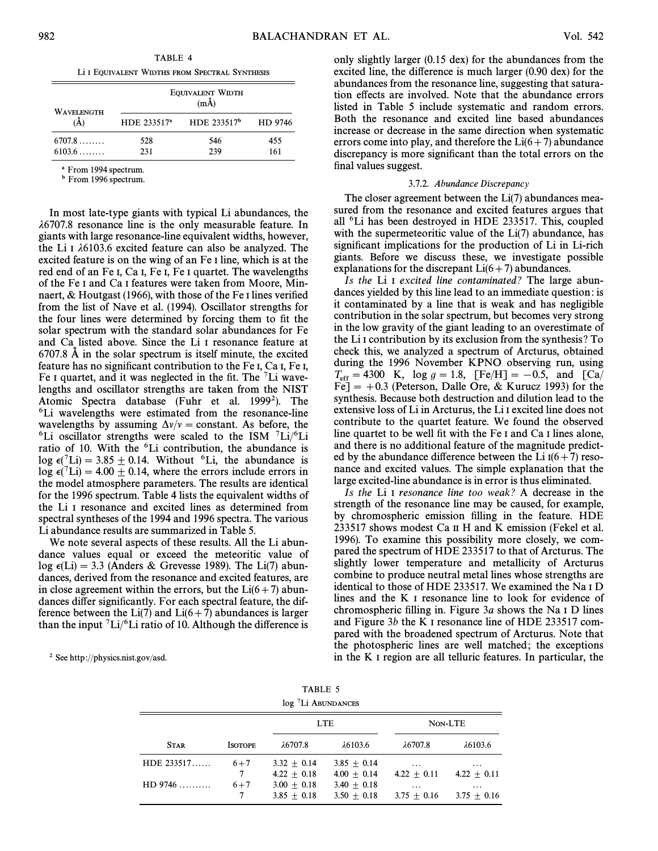TABLE 4 Li I EQUIVALENT WIDTHS FROM SPECTRAL SYNTHESIS

| <b>WAVELENGTH</b> |                         | <b>EQUIVALENT WIDTH</b><br>$(m\AA)$ |            |
|-------------------|-------------------------|-------------------------------------|------------|
| $\mathring{A}$    | HDE 233517 <sup>a</sup> | HDE 233517 <sup>b</sup>             | HD 9746    |
| 6707.8<br>6103.6  | 528<br>231              | 546<br>239                          | 455<br>161 |

From 1994 spectrum.

**b** From 1996 spectrum.

In most late-type giants with typical Li abundances, the  $\lambda$ 6707.8 resonance line is the only measurable feature. In giants with large resonance-line equivalent widths, however, the Li I  $\lambda$ 6103.6 excited feature can also be analyzed. The excited feature is on the wing of an Fe I line, which is at the red end of an Fe I, Ca I, Fe I, Fe I quartet. The wavelengths of the Fe I and Ca I features were taken from Moore, Minnaert,  $&$  Houtgast (1966), with those of the Fe I lines verified from the list of Nave et al. (1994). Oscillator strengths for the four lines were determined by forcing them to fit the solar spectrum with the standard solar abundances for Fe and Ca listed above. Since the Li I resonance feature at  $6707.8$  Å in the solar spectrum is itself minute, the excited feature has no significant contribution to the Fe I, Ca I, Fe I, Fe I quartet, and it was neglected in the fit. The  ${}^{7}$ Li wavelengths and oscillator strengths are taken from the NIST Atomic Spectra database (Fuhr et al. 1999<sup>2</sup>). The <sup>6</sup>Li wavelengths were estimated from the resonance-line wavelengths by assuming  $\Delta v/v =$  constant. As before, the <sup>6</sup>Li oscillator strengths were scaled to the ISM  ${}^{7}$ Li/<sup>6</sup>Li ratio of 10. With the <sup>6</sup>Li contribution, the abundance is  $\log \epsilon$ (<sup>7</sup>Li) = 3.85  $\pm$  0.14. Without <sup>6</sup>Li, the abundance is  $\log \epsilon$ <sup>(7</sup>Li) = 4.00  $\pm$  0.14, where the errors include errors in the model atmosphere parameters. The results are identical for the 1996 spectrum. Table 4 lists the equivalent widths of the Li I resonance and excited lines as determined from spectral syntheses of the 1994 and 1996 spectra. The various Li abundance results are summarized in Table 5.

We note several aspects of these results. All the Li abundance values equal or exceed the meteoritic value of  $log \epsilon(Li) = 3.3$  (Anders & Grevesse 1989). The Li(7) abundances, derived from the resonance and excited features, are in close agreement within the errors, but the  $Li(6+7)$  abundances differ significantly. For each spectral feature, the difference between the Li(7) and Li(6+7) abundances is larger than the input  ${}^{7}Li/{}^{6}Li$  ratio of 10. Although the difference is only slightly larger (0.15 dex) for the abundances from the excited line, the difference is much larger (0.90 dex) for the abundances from the resonance line, suggesting that saturation effects are involved. Note that the abundance errors listed in Table 5 include systematic and random errors. Both the resonance and excited line based abundances increase or decrease in the same direction when systematic errors come into play, and therefore the  $Li(6+7)$  abundance discrepancy is more significant than the total errors on the final values suggest.

#### 3.7.2. Abundance Discrepancy

The closer agreement between the Li(7) abundances measured from the resonance and excited features argues that all 6Li has been destroyed in HDE 233517. This, coupled with the supermeteoritic value of the  $Li(7)$  abundance, has significant implications for the production of Li in Li-rich giants. Before we discuss these, we investigate possible explanations for the discrepant  $Li(6+7)$  abundances.

Is the Li<sub>I</sub> excited line contaminated? The large abundances yielded by this line lead to an immediate question : is it contaminated by a line that is weak and has negligible contribution in the solar spectrum, but becomes very strong in the low gravity of the giant leading to an overestimate of the Li I contribution by its exclusion from the synthesis ? To check this, we analyzed a spectrum of Arcturus, obtained during the 1996 November KPNO observing run, using  $T_{\rm eff} = 4300$  K,  $\log g = 1.8$ ,  $[Fe/H] = -0.5$ , and  $[Ca/H]$  $\overline{Fe}$  = +0.3 (Peterson, Dalle Ore, & Kurucz 1993) for the synthesis. Because both destruction and dilution lead to the extensive loss of Li in Arcturus, the Li I excited line does not contribute to the quartet feature. We found the observed line quartet to be well fit with the Fe I and Ca I lines alone, and there is no additional feature of the magnitude predicted by the abundance difference between the Li  $I(6+7)$  resonance and excited values. The simple explanation that the large excited-line abundance is in error is thus eliminated.

Is the Li I resonance line too weak? A decrease in the strength of the resonance line may be caused, for example, by chromospheric emission filling in the feature. HDE 233517 shows modest Ca II H and K emission (Fekel et al. 1996). To examine this possibility more closely, we compared the spectrum of HDE 233517 to that of Arcturus. The slightly lower temperature and metallicity of Arcturus combine to produce neutral metal lines whose strengths are identical to those of HDE 233517. We examined the Na I D lines and the K I resonance line to look for evidence of chromospheric filling in. Figure  $3a$  shows the Na I D lines and Figure 3b the K I resonance line of HDE 233517 compared with the broadened spectrum of Arcturus. Note that the photospheric lines are well matched ; the exceptions in the K I region are all telluric features. In particular, the

2 See http ://physics.nist.gov/asd.

| TABLE 5                        |
|--------------------------------|
| log <sup>7</sup> Li ABUNDANCES |

|                  |                | <b>LTE</b>       |                  |                  | NON-LTE          |
|------------------|----------------|------------------|------------------|------------------|------------------|
| <b>STAR</b>      | <b>ISOTOPE</b> | $\lambda$ 6707.8 | $\lambda$ 6103.6 | $\lambda$ 6707.8 | $\lambda$ 6103.6 |
| $HDE$ 233517     | $6 + 7$        | $3.32 + 0.14$    | $3.85 + 0.14$    | $\cdots$         | $\cdots$         |
|                  | 7              | $4.22 + 0.18$    | $4.00 + 0.14$    | $4.22 + 0.11$    | $4.22 + 0.11$    |
| $HD\,9746\ldots$ | $6 + 7$        | $3.00 + 0.18$    | $3.40 + 0.18$    | $\cdots$         | $\cdots$         |
|                  | 7              | $3.85 + 0.18$    | $3.50 + 0.18$    | $3.75 + 0.16$    | $3.75 + 0.16$    |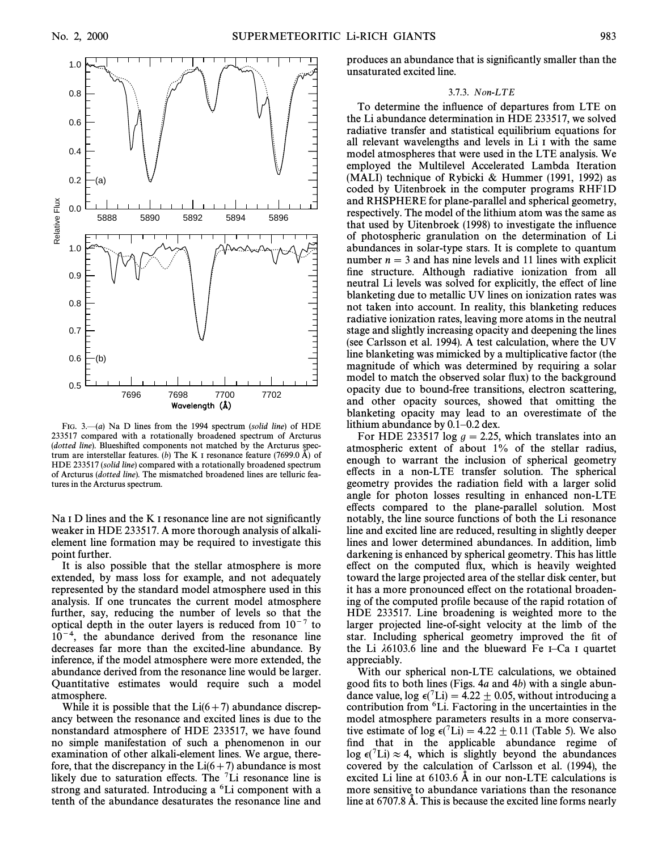

FIG. 3. $-(a)$  Na D lines from the 1994 spectrum (solid line) of HDE 233517 compared with a rotationally broadened spectrum of Arcturus (dotted line). Blueshifted components not matched by the Arcturus spectrum are interstellar features. (b) The K I resonance feature (7699.0 Å) of HDE 233517 (solid line) compared with a rotationally broadened spectrum of Arcturus (dotted line). The mismatched broadened lines are telluric features in the Arcturus spectrum.

Na I D lines and the K I resonance line are not significantly weaker in HDE 233517. A more thorough analysis of alkalielement line formation may be required to investigate this point further.

It is also possible that the stellar atmosphere is more extended, by mass loss for example, and not adequately represented by the standard model atmosphere used in this analysis. If one truncates the current model atmosphere further, say, reducing the number of levels so that the optical depth in the outer layers is reduced from  $10^{-7}$  to  $10^{-4}$ , the abundance derived from the resonance line decreases far more than the excited-line abundance. By inference, if the model atmosphere were more extended, the abundance derived from the resonance line would be larger. Quantitative estimates would require such a model atmosphere.

While it is possible that the  $Li(6+7)$  abundance discrepancy between the resonance and excited lines is due to the nonstandard atmosphere of HDE 233517, we have found no simple manifestation of such a phenomenon in our examination of other alkali-element lines. We argue, therefore, that the discrepancy in the  $Li(6+7)$  abundance is most likely due to saturation effects. The  ${}^{7}Li$  resonance line is strong and saturated. Introducing a <sup>6</sup>Li component with a tenth of the abundance desaturates the resonance line and produces an abundance that is significantly smaller than the unsaturated excited line.

#### 3.7.3. Non-LTE

To determine the influence of departures from LTE on the Li abundance determination in HDE 233517, we solved radiative transfer and statistical equilibrium equations for all relevant wavelengths and levels in Li I with the same model atmospheres that were used in the LTE analysis. We employed the Multilevel Accelerated Lambda Iteration (MALI) technique of Rybicki & Hummer (1991, 1992) as coded by Uitenbroek in the computer programs RHF1D and RHSPHERE for plane-parallel and spherical geometry, respectively. The model of the lithium atom was the same as that used by Uitenbroek (1998) to investigate the influence of photospheric granulation on the determination of Li abundances in solar-type stars. It is complete to quantum number  $n = 3$  and has nine levels and 11 lines with explicit fine structure. Although radiative ionization from all neutral Li levels was solved for explicitly, the effect of line blanketing due to metallic UV lines on ionization rates was not taken into account. In reality, this blanketing reduces radiative ionization rates, leaving more atoms in the neutral stage and slightly increasing opacity and deepening the lines (see Carlsson et al. 1994). A test calculation, where the UV line blanketing was mimicked by a multiplicative factor (the magnitude of which was determined by requiring a solar model to match the observed solar flux) to the background opacity due to bound-free transitions, electron scattering, and other opacity sources, showed that omitting the blanketing opacity may lead to an overestimate of the lithium abundance by  $0.1-0.2$  dex.

For HDE 233517 log  $q = 2.25$ , which translates into an atmospheric extent of about 1% of the stellar radius, enough to warrant the inclusion of spherical geometry effects in a non-LTE transfer solution. The spherical geometry provides the radiation field with a larger solid angle for photon losses resulting in enhanced non-LTE e†ects compared to the plane-parallel solution. Most notably, the line source functions of both the Li resonance line and excited line are reduced, resulting in slightly deeper lines and lower determined abundances. In addition, limb darkening is enhanced by spherical geometry. This has little effect on the computed flux, which is heavily weighted toward the large projected area of the stellar disk center, but it has a more pronounced effect on the rotational broadening of the computed profile because of the rapid rotation of HDE 233517. Line broadening is weighted more to the larger projected line-of-sight velocity at the limb of the star. Including spherical geometry improved the fit of the Li  $\lambda$ 6103.6 line and the blueward Fe I–Ca I quartet appreciably.

With our spherical non-LTE calculations, we obtained good fits to both lines (Figs.  $4a$  and  $4b$ ) with a single abundance value, log  $\epsilon$ (<sup>7</sup>Li) = 4.22  $\pm$  0.05, without introducing a contribution from 6Li. Factoring in the uncertainties in the model atmosphere parameters results in a more conservative estimate of log  $\epsilon$ (<sup>7</sup>Li) = 4.22  $\pm$  0.11 (Table 5). We also find that in the applicable abundance regime of  $\log \epsilon$ <sup>(7</sup>Li)  $\approx$  4, which is slightly beyond the abundances covered by the calculation of Carlsson et al. (1994), the excited Li line at  $6103.6$  Å in our non-LTE calculations is more sensitive to abundance variations than the resonance line at 6707.8 A. This is because the excited line forms nearly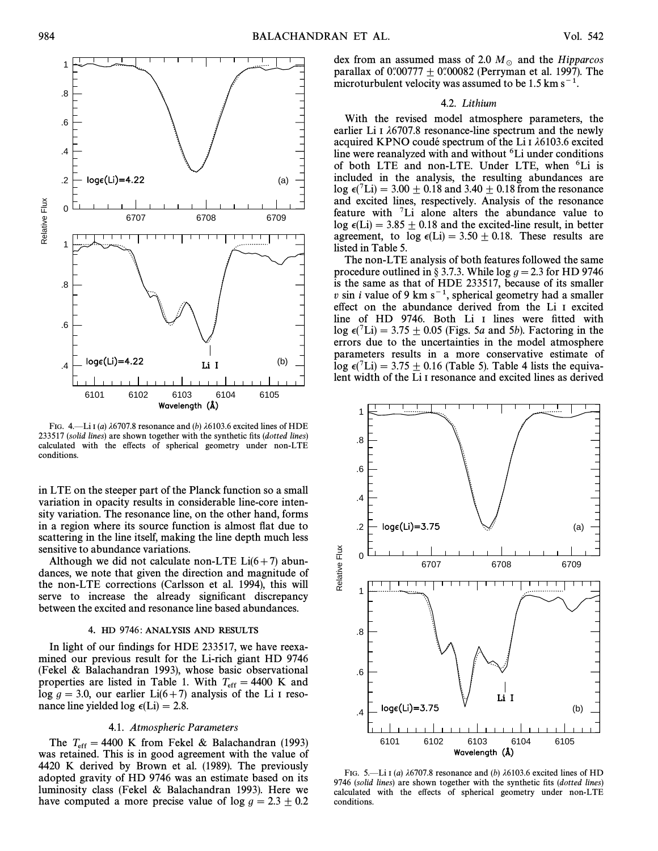

FIG. 4.—Li I (a)  $\lambda$ 6707.8 resonance and (b)  $\lambda$ 6103.6 excited lines of HDE 233517 (solid lines) are shown together with the synthetic fits (dotted lines) calculated with the effects of spherical geometry under non-LTE conditions.

in LTE on the steeper part of the Planck function so a small variation in opacity results in considerable line-core intensity variation. The resonance line, on the other hand, forms in a region where its source function is almost flat due to scattering in the line itself, making the line depth much less sensitive to abundance variations.

Although we did not calculate non-LTE  $Li(6+7)$  abundances, we note that given the direction and magnitude of the non-LTE corrections (Carlsson et al. 1994), this will serve to increase the already significant discrepancy between the excited and resonance line based abundances.

#### 4. HD 9746: ANALYSIS AND RESULTS

In light of our findings for HDE 233517, we have reexamined our previous result for the Li-rich giant HD 9746 (Fekel & Balachandran 1993), whose basic observational properties are listed in Table 1. With  $T_{\text{eff}} = 4400 \text{ K}$  and  $\log a = 3.0$  our earlier  $\text{Li}(6+7)$  analysis of the Li Lreso- $\log g = 3.0$ , our earlier Li(6+7) analysis of the Li I resonance line yielded log  $\epsilon$ (Li) = 2.8.

#### 4.1. Atmospheric Parameters

The  $T_{\text{eff}} = 4400 \text{ K}$  from Fekel & Balachandran (1993) The retained This is in good agreement with the value of was retained. This is in good agreement with the value of 4420 K derived by Brown et al. (1989). The previously adopted gravity of HD 9746 was an estimate based on its luminosity class (Fekel & Balachandran 1993). Here we have computed a more precise value of  $\log g = 2.3 \pm 0.2$ 

dex from an assumed mass of 2.0  $M_{\odot}$  and the Hipparcos parallax of  $0.00777 \pm 0.00082$  (Perryman et al. 1997). The microturbulent velocity was assumed to be 1.5 km  $s^{-1}$ .

#### 4.2. Lithium

With the revised model atmosphere parameters, the earlier Li I  $\lambda$ 6707.8 resonance-line spectrum and the newly acquired KPNO coudé spectrum of the Li  $\iota$  16103.6 excited line were reanalyzed with and without <sup>6</sup>Li under conditions of both LTE and non-LTE. Under LTE, when <sup>6</sup>Li is included in the analysis, the resulting abundances are  $\log \epsilon$ (<sup>7</sup>Li) = 3.00  $\pm$  0.18 and 3.40  $\pm$  0.18 from the resonance and excited lines, respectively. Analysis of the resonance feature with 7Li alone alters the abundance value to log  $\epsilon$ (Li) = 3.85  $\pm$  0.18 and the excited-line result, in better agreement, to  $\log \epsilon(Li) = 3.50 \pm 0.18$ . These results are listed in Table 5.

The non-LTE analysis of both features followed the same procedure outlined in § 3.7.3. While  $\log g = 2.3$  for HD 9746 is the same as that of HDE 233517, because of its smaller  $v \sin i$  value of 9 km s<sup>-1</sup>, spherical geometry had a smaller effect on the abundance derived from the Li I excited line of HD 9746. Both Li I lines were fitted with  $\log \epsilon$ <sup>(7</sup>Li) = 3.75  $\pm$  0.05 (Figs. 5a and 5b). Factoring in the errors due to the uncertainties in the model atmosphere parameters results in a more conservative estimate of  $\log \epsilon$ (<sup>7</sup>Li) = 3.75  $\pm$  0.16 (Table 5). Table 4 lists the equivalent width of the Li I resonance and excited lines as derived



FIG. 5.—Li I (a)  $\lambda$ 6707.8 resonance and (b)  $\lambda$ 6103.6 excited lines of HD 9746 (solid lines) are shown together with the synthetic fits (dotted lines) calculated with the effects of spherical geometry under non-LTE conditions.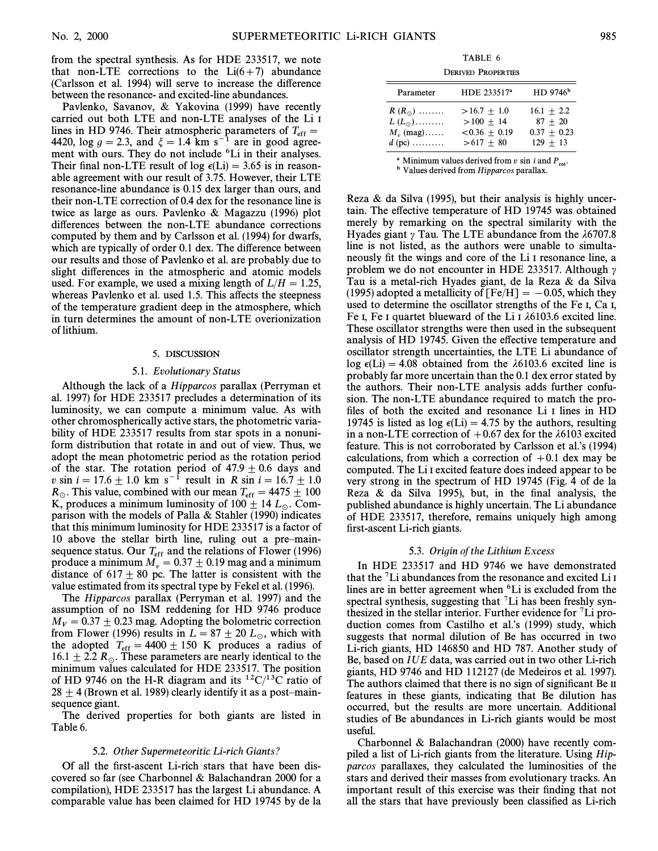from the spectral synthesis. As for HDE 233517, we note that non-LTE corrections to the  $Li(6+7)$  abundance (Carlsson et al. 1994) will serve to increase the di†erence between the resonance- and excited-line abundances.

Pavlenko, Savanov, & Yakovina (1999) have recently carried out both LTE and non-LTE analyses of the Li I lines in HD 9746. Their atmospheric parameters of  $T_{\text{eff}} = 4420$ , log  $g = 2.3$ , and  $\zeta = 1.4$  km s<sup>-1</sup> are in good agreement with ours. They do not include <sup>6</sup>Li in their analyses. Their final non-LTE result of log  $\epsilon$ (Li) = 3.65 is in reasonable agreement with our result of 3.75. However, their LTE resonance-line abundance is 0.15 dex larger than ours, and their non-LTE correction of 0.4 dex for the resonance line is twice as large as ours. Pavlenko & Magazzu (1996) plot differences between the non-LTE abundance corrections computed by them and by Carlsson et al. (1994) for dwarfs, which are typically of order 0.1 dex. The difference between our results and those of Pavlenko et al. are probably due to slight differences in the atmospheric and atomic models used. For example, we used a mixing length of  $L/H = 1.25$ , whereas Pavlenko et al. used 1.5. This affects the steepness of the temperature gradient deep in the atmosphere, which in turn determines the amount of non-LTE overionization of lithium.

#### 5. DISCUSSION

#### 5.1. Evolutionary Status

Although the lack of a Hipparcos parallax (Perryman et al. 1997) for HDE 233517 precludes a determination of its luminosity, we can compute a minimum value. As with other chromospherically active stars, the photometric variability of HDE 233517 results from star spots in a nonuniform distribution that rotate in and out of view. Thus, we adopt the mean photometric period as the rotation period of the star. The rotation period of  $47.9 \pm 0.6$  days and v sin  $i = 17.6 \pm 1.0$  km s<sup>-1</sup> result in R sin  $i = 16.7 \pm 1.0$  $R_{\odot}$ . This value, combined with our mean  $T_{\text{eff}} = 4475 \pm 100$ <br>K, produces a minimum luminosity of 100 + 14 L. Com-K, produces a minimum luminosity of 100  $\pm$  14  $L _{\odot}$ . Comparison with the models of Palla & Stahler (1990) indicates that this minimum luminosity for HDE 233517 is a factor of 10 above the stellar birth line, ruling out a pre-mainsequence status. Our  $T_{\rm eff}$  and the relations of Flower (1996) produce a minimum  $M_v = 0.37 \pm 0.19$  mag and a minimum<br>distance of 617 + 80 pc. The latter is consistent with the distance of 617 $\pm$  80 pc. The latter is consistent with the value estimated from its spectral type by Fekel et al. (1996).

The Hipparcos parallax (Perryman et al. 1997) and the assumption of no ISM reddening for HD 9746 produce  $M_V = 0.37 \pm 0.23$  mag. Adopting the bolometric correction from Flower (1996) results in  $L = 87 \pm 20$   $L_{\odot}$ , which with the adopted  $T_{\text{eff}} = 4400 \pm 150$  K produces a radius of  $16.1 \pm 2.2$  P. These parameters are nearly identical to the 16.1  $\pm$  2.2  $R_\odot$ . These parameters are nearly identical to the minimum values calculated for HDE 233517. The position of HD 9746 on the H-R diagram and its  ${}^{12}C/{}^{13}C$  ratio of  $28 \pm 4$  (Brown et al. 1989) clearly identify it as a post-mainsequence giant.

The derived properties for both giants are listed in Table 6.

#### 5.2. Other Supermeteoritic Li-rich Giants?

Of all the first-ascent Li-rich stars that have been discovered so far (see Charbonnel & Balachandran 2000 for a compilation), HDE 233517 has the largest Li abundance. A comparable value has been claimed for HD 19745 by de la

TABLE 6

DERIVED PROPERTIES

| Parameter         | HDE 233517 <sup>a</sup> | $HD$ 9746 <sup>b</sup> |
|-------------------|-------------------------|------------------------|
| $R(R_{\odot})$    | $>16.7 + 1.0$           | $16.1 + 2.2$           |
| $L(L_{\odot})$    | $>100 + 14$             | $87 + 20$              |
| $M_{\rm r}$ (mag) | $< 0.36 + 0.19$         | $0.37 + 0.23$          |
| $d$ (pc)          | $>617 + 80$             | $129 + 13$             |

<sup>a</sup> Minimum values derived from  $v \sin i$  and  $P_{\text{rot}}$ .

**b** Values derived from Hipparcos parallax.

Reza  $\&$  da Silva (1995), but their analysis is highly uncertain. The effective temperature of HD 19745 was obtained merely by remarking on the spectral similarity with the Hyades giant  $\gamma$  Tau. The LTE abundance from the  $\lambda$ 6707.8 line is not listed, as the authors were unable to simultaneously fit the wings and core of the Li<sub>I</sub> resonance line, a problem we do not encounter in HDE 233517. Although  $\gamma$ Tau is a metal-rich Hyades giant, de la Reza & da Silva (1995) adopted a metallicity of  $[Fe/H] = -0.05$ , which they used to determine the oscillator strengths of the Fe I, Ca I, Fe I, Fe I quartet blueward of the Li I  $\lambda$ 6103.6 excited line. These oscillator strengths were then used in the subsequent analysis of HD 19745. Given the e†ective temperature and oscillator strength uncertainties, the LTE Li abundance of  $log \epsilon(Li) = 4.08$  obtained from the  $\lambda$ 6103.6 excited line is probably far more uncertain than the 0.1 dex error stated by the authors. Their non-LTE analysis adds further confusion. The non-LTE abundance required to match the profiles of both the excited and resonance Li I lines in HD 19745 is listed as  $log \epsilon(Li) = 4.75$  by the authors, resulting in a non-LTE correction of  $+0.67$  dex for the  $\lambda$ 6103 excited feature. This is not corroborated by Carlsson et al.'s (1994) calculations, from which a correction of  $+0.1$  dex may be computed. The Li I excited feature does indeed appear to be very strong in the spectrum of HD 19745 (Fig. 4 of de la Reza  $\&$  da Silva 1995), but, in the final analysis, the published abundance is highly uncertain. The Li abundance of HDE 233517, therefore, remains uniquely high among first-ascent Li-rich giants.

## 5.3. Origin of the Lithium Excess

In HDE 233517 and HD 9746 we have demonstrated that the 7Li abundances from the resonance and excited Li I lines are in better agreement when <sup>6</sup>Li is excluded from the spectral synthesis, suggesting that  ${}^{7}$ Li has been freshly synthesized in the stellar interior. Further evidence for  $\mathrm{^{7}Li}$  production comes from Castilho et al.'s (1999) study, which suggests that normal dilution of Be has occurred in two Li-rich giants, HD 146850 and HD 787. Another study of Be, based on IUE data, was carried out in two other Li-rich giants, HD 9746 and HD 112127 (de Medeiros et al. 1997). The authors claimed that there is no sign of significant Be  $\text{II}$ features in these giants, indicating that Be dilution has occurred, but the results are more uncertain. Additional studies of Be abundances in Li-rich giants would be most useful.

Charbonnel & Balachandran (2000) have recently compiled a list of Li-rich giants from the literature. Using Hipparcos parallaxes, they calculated the luminosities of the stars and derived their masses from evolutionary tracks. An important result of this exercise was their finding that not all the stars that have previously been classified as Li-rich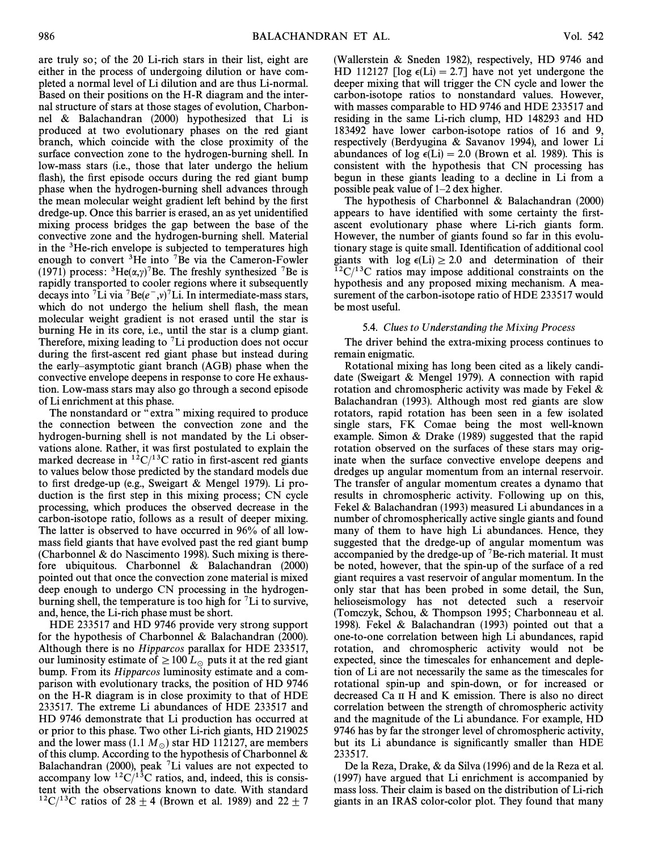are truly so; of the 20 Li-rich stars in their list, eight are either in the process of undergoing dilution or have completed a normal level of Li dilution and are thus Li-normal. Based on their positions on the H-R diagram and the internal structure of stars at those stages of evolution, Charbonnel & Balachandran (2000) hypothesized that Li is produced at two evolutionary phases on the red giant branch, which coincide with the close proximity of the surface convection zone to the hydrogen-burning shell. In low-mass stars (i.e., those that later undergo the helium flash), the first episode occurs during the red giant bump phase when the hydrogen-burning shell advances through the mean molecular weight gradient left behind by the first dredge-up. Once this barrier is erased, an as yet unidentified mixing process bridges the gap between the base of the convective zone and the hydrogen-burning shell. Material in the 3He-rich envelope is subjected to temperatures high enough to convert <sup>3</sup>He into <sup>7</sup>Be via the Cameron-Fowler (1971) process:  ${}^{3}$ He( $(\alpha,\gamma)$ <sup>7</sup>Be. The freshly synthesized <sup>7</sup>Be is rapidly transported to cooler regions where it subsequently decays into <sup>7</sup>Li via <sup>7</sup>Be( $e^-$ ,v)<sup>7</sup>Li. In intermediate-mass stars, which do not undergo the helium shell flash, the mean molecular weight gradient is not erased until the star is burning He in its core, i.e., until the star is a clump giant. Therefore, mixing leading to  $\mathrm{T}$ Li production does not occur during the first-ascent red giant phase but instead during the early-asymptotic giant branch (AGB) phase when the convective envelope deepens in response to core He exhaustion. Low-mass stars may also go through a second episode of Li enrichment at this phase.

The nonstandard or  $\mathrm{``extra''}$  mixing required to produce the connection between the convection zone and the hydrogen-burning shell is not mandated by the Li observations alone. Rather, it was first postulated to explain the marked decrease in  ${}^{12}C/{}^{13}C$  ratio in first-ascent red giants to values below those predicted by the standard models due to first dredge-up (e.g., Sweigart & Mengel 1979). Li production is the first step in this mixing process; CN cycle processing, which produces the observed decrease in the carbon-isotope ratio, follows as a result of deeper mixing. The latter is observed to have occurred in 96% of all lowmass field giants that have evolved past the red giant bump (Charbonnel & do Nascimento 1998). Such mixing is therefore ubiquitous. Charbonnel & Balachandran (2000) pointed out that once the convection zone material is mixed deep enough to undergo CN processing in the hydrogenburning shell, the temperature is too high for  $\mathrm{^{7}Li}$  to survive, and, hence, the Li-rich phase must be short.

HDE 233517 and HD 9746 provide very strong support for the hypothesis of Charbonnel & Balachandran (2000). Although there is no Hipparcos parallax for HDE 233517, our luminosity estimate of  $\geq 100 L_{\odot}$  puts it at the red giant bump. From its Hipparcos luminosity estimate and a comparison with evolutionary tracks, the position of HD 9746 on the H-R diagram is in close proximity to that of HDE 233517. The extreme Li abundances of HDE 233517 and HD 9746 demonstrate that Li production has occurred at or prior to this phase. Two other Li-rich giants, HD 219025 and the lower mass (1.1  $M_\odot$ ) star HD 112127, are members of this clump. According to the hypothesis of Charbonnel & Balachandran (2000), peak  $\mathrm{^{7}Li}$  values are not expected to accompany low  ${}^{12}C/{}^{13}C$  ratios, and, indeed, this is consistent with the observations known to date. With standard  $12^1C^{13}C$  ratios of 28  $\pm$  4 (Brown et al. 1989) and 22  $\pm$  7 (Wallerstein & Sneden 1982), respectively, HD 9746 and HD 112127 [log  $\epsilon$ (Li) = 2.7] have not yet undergone the deeper mixing that will trigger the CN cycle and lower the carbon-isotope ratios to nonstandard values. However, with masses comparable to HD 9746 and HDE 233517 and residing in the same Li-rich clump, HD 148293 and HD 183492 have lower carbon-isotope ratios of 16 and 9, respectively (Berdyugina & Savanov 1994), and lower Li abundances of log  $\epsilon$ (Li) = 2.0 (Brown et al. 1989). This is consistent with the hypothesis that CN processing has begun in these giants leading to a decline in Li from a possible peak value of  $1-2$  dex higher.

The hypothesis of Charbonnel & Balachandran (2000) appears to have identified with some certainty the firstascent evolutionary phase where Li-rich giants form. However, the number of giants found so far in this evolutionary stage is quite small. Identification of additional cool giants with  $log \epsilon(Li) \geq 2.0$  and determination of their  $12^1C^{13}C$  ratios may impose additional constraints on the hypothesis and any proposed mixing mechanism. A measurement of the carbon-isotope ratio of HDE 233517 would be most useful.

#### 5.4. Clues to Understanding the Mixing Process

The driver behind the extra-mixing process continues to remain enigmatic.

Rotational mixing has long been cited as a likely candidate (Sweigart & Mengel 1979). A connection with rapid rotation and chromospheric activity was made by Fekel & Balachandran (1993). Although most red giants are slow rotators, rapid rotation has been seen in a few isolated single stars, FK Comae being the most well-known example. Simon & Drake (1989) suggested that the rapid rotation observed on the surfaces of these stars may originate when the surface convective envelope deepens and dredges up angular momentum from an internal reservoir. The transfer of angular momentum creates a dynamo that results in chromospheric activity. Following up on this, Fekel & Balachandran (1993) measured Li abundances in a number of chromospherically active single giants and found many of them to have high Li abundances. Hence, they suggested that the dredge-up of angular momentum was accompanied by the dredge-up of  $7B$ e-rich material. It must be noted, however, that the spin-up of the surface of a red giant requires a vast reservoir of angular momentum. In the only star that has been probed in some detail, the Sun, helioseismology has not detected such a reservoir (Tomczyk, Schou, & Thompson 1995; Charbonneau et al. 1998). Fekel & Balachandran (1993) pointed out that a one-to-one correlation between high Li abundances, rapid rotation, and chromospheric activity would not be expected, since the timescales for enhancement and depletion of Li are not necessarily the same as the timescales for rotational spin-up and spin-down, or for increased or decreased Ca II H and K emission. There is also no direct correlation between the strength of chromospheric activity and the magnitude of the Li abundance. For example, HD 9746 has by far the stronger level of chromospheric activity, but its Li abundance is significantly smaller than HDE 233517.

De la Reza, Drake, & da Silva (1996) and de la Reza et al. (1997) have argued that Li enrichment is accompanied by mass loss. Their claim is based on the distribution of Li-rich giants in an IRAS color-color plot. They found that many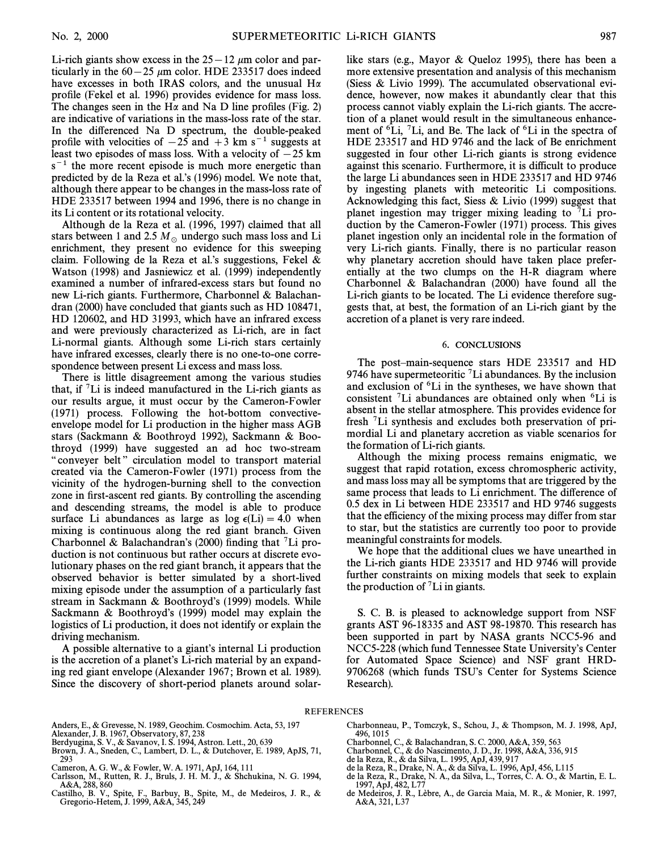Li-rich giants show excess in the  $25-12 \mu m$  color and particularly in the  $60-25 \mu m$  color. HDE 233517 does indeed have excesses in both IRAS colors, and the unusual  $H\alpha$ profile (Fekel et al. 1996) provides evidence for mass loss. The changes seen in the H $\alpha$  and Na D line profiles (Fig. 2) are indicative of variations in the mass-loss rate of the star. In the differenced Na D spectrum, the double-peaked profile with velocities of  $-25$  and  $+3$  km s<sup>-1</sup> suggests at least two episodes of mass loss. With a velocity of  $-25$  km  $s^{-1}$  the more recent episode is much more energetic than predicted by de la Reza et al.'s (1996) model. We note that, although there appear to be changes in the mass-loss rate of HDE 233517 between 1994 and 1996, there is no change in its Li content or its rotational velocity.

Although de la Reza et al. (1996, 1997) claimed that all stars between 1 and 2.5  $M_\odot$  undergo such mass loss and Li enrichment, they present no evidence for this sweeping claim. Following de la Reza et al.'s suggestions, Fekel  $\&$ Watson (1998) and Jasniewicz et al. (1999) independently examined a number of infrared-excess stars but found no new Li-rich giants. Furthermore, Charbonnel & Balachandran (2000) have concluded that giants such as HD 108471, HD 120602, and HD 31993, which have an infrared excess and were previously characterized as Li-rich, are in fact Li-normal giants. Although some Li-rich stars certainly have infrared excesses, clearly there is no one-to-one correspondence between present Li excess and mass loss.

There is little disagreement among the various studies that, if 7Li is indeed manufactured in the Li-rich giants as our results argue, it must occur by the Cameron-Fowler (1971) process. Following the hot-bottom convectiveenvelope model for Li production in the higher mass AGB stars (Sackmann & Boothroyd 1992), Sackmann & Boothroyd (1999) have suggested an ad hoc two-stream " conveyer belt" circulation model to transport material created via the Cameron-Fowler (1971) process from the vicinity of the hydrogen-burning shell to the convection zone in first-ascent red giants. By controlling the ascending and descending streams, the model is able to produce surface Li abundances as large as  $log \epsilon(Li) = 4.0$  when mixing is continuous along the red giant branch. Given Charbonnel & Balachandran's (2000) finding that <sup>7</sup>Li production is not continuous but rather occurs at discrete evolutionary phases on the red giant branch, it appears that the observed behavior is better simulated by a short-lived mixing episode under the assumption of a particularly fast stream in Sackmann & Boothroyd's (1999) models. While Sackmann  $& Boothroyd's$  (1999) model may explain the logistics of Li production, it does not identify or explain the driving mechanism.

A possible alternative to a giant's internal Li production is the accretion of a planet's Li-rich material by an expanding red giant envelope (Alexander 1967; Brown et al. 1989). Since the discovery of short-period planets around solarlike stars (e.g., Mayor & Queloz 1995), there has been a more extensive presentation and analysis of this mechanism (Siess & Livio 1999). The accumulated observational evidence, however, now makes it abundantly clear that this process cannot viably explain the Li-rich giants. The accretion of a planet would result in the simultaneous enhancement of  ${}^{6}$ Li, <sup>7</sup>Li, and Be. The lack of  ${}^{6}$ Li in the spectra of HDE 233517 and HD 9746 and the lack of Be enrichment suggested in four other Li-rich giants is strong evidence against this scenario. Furthermore, it is difficult to produce the large Li abundances seen in HDE 233517 and HD 9746 by ingesting planets with meteoritic Li compositions. Acknowledging this fact, Siess & Livio (1999) suggest that planet ingestion may trigger mixing leading to  $\mathrm{^{7}Li}$  production by the Cameron-Fowler (1971) process. This gives planet ingestion only an incidental role in the formation of very Li-rich giants. Finally, there is no particular reason why planetary accretion should have taken place preferentially at the two clumps on the H-R diagram where Charbonnel & Balachandran (2000) have found all the Li-rich giants to be located. The Li evidence therefore suggests that, at best, the formation of an Li-rich giant by the accretion of a planet is very rare indeed.

#### 6. CONCLUSIONS

The post-main-sequence stars HDE 233517 and HD 9746 have supermeteoritic  ${}^{7}$ Li abundances. By the inclusion and exclusion of 6Li in the syntheses, we have shown that consistent  ${}^{7}$ Li abundances are obtained only when  ${}^{6}$ Li is absent in the stellar atmosphere. This provides evidence for fresh 7Li synthesis and excludes both preservation of primordial Li and planetary accretion as viable scenarios for the formation of Li-rich giants.

Although the mixing process remains enigmatic, we suggest that rapid rotation, excess chromospheric activity, and mass loss may all be symptoms that are triggered by the same process that leads to Li enrichment. The difference of 0.5 dex in Li between HDE 233517 and HD 9746 suggests that the efficiency of the mixing process may differ from star to star, but the statistics are currently too poor to provide meaningful constraints for models.

We hope that the additional clues we have unearthed in the Li-rich giants HDE 233517 and HD 9746 will provide further constraints on mixing models that seek to explain the production of  ${}^{7}$ Li in giants.

S. C. B. is pleased to acknowledge support from NSF grants AST 96-18335 and AST 98-19870. This research has been supported in part by NASA grants NCC5-96 and NCC5-228 (which fund Tennessee State University's Center for Automated Space Science) and NSF grant HRD-9706268 (which funds TSU's Center for Systems Science Research).

#### REFERENCES

Anders, E., & Grevesse, N. 1989, Geochim. Cosmochim. Acta, 53, 197

- Alexander, J. B. 1967, Observatory, 87, 238 Berdyugina, S. V., & Savanov, I. S. 1994, Astron. Lett., 20, 639 Brown, J. A., Sneden, C., Lambert, D. L., & Dutchover, E. 1989, ApJS, 71, 293
- Cameron, A. G. W., & Fowler, W. A. 1971, ApJ, 164, 111
- Carlsson, M., Rutten, R. J., Bruls, J. H. M. J., & Shchukina, N. G. 1994, A&A, 288, 860
- Castilho, B. V., Spite, F., Barbuy, B., Spite, M., de Medeiros, J. R., & Gregorio-Hetem, J. 1999, A&A, 345, 249
- Charbonneau, P., Tomczyk, S., Schou, J., & Thompson, M. J. 1998, ApJ, 496, 1015
- Charbonnel, C., & Balachandran, S. C. 2000, A&A, 359, 563 Charbonnel, C., & do Nascimento, J. D., Jr. 1998, A&A, 336, 915
- 
- de la Reza, R., & da Silva, L. 1995, ApJ, 439, 917
- de la Reza, R., Drake, N. A., & da Silva, L. 1996, ApJ, 456, L115
- de la Reza, R., Drake, N. A., da Silva, L., Torres, C. A. O., & Martin, E. L. 1997, ApJ, 482, L77
- de Medeiros, J. R., Lèbre, A., de Garcia Maia, M. R., & Monier, R. 1997, A&A, 321, L37